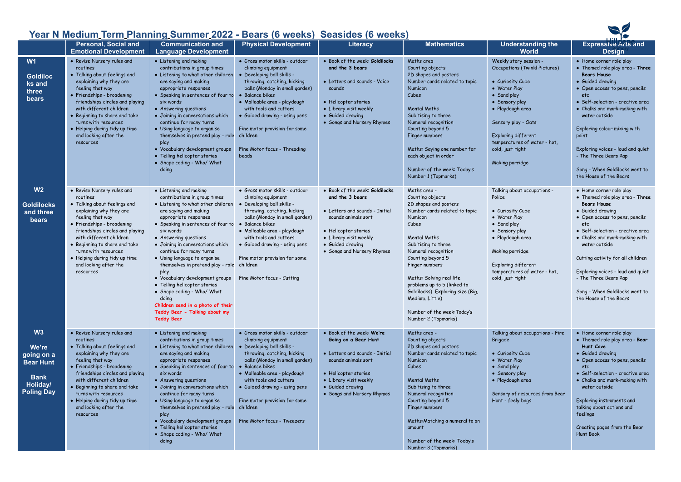## **Year N Medium Term Planning Summer 2022 - Bears (6 weeks) Seasides (6 weeks)**

|                                                                                               |                                                                                                                                                                                                                                                                                                                                                   | <u> Tear In Medium Termi Frammy Summer Zuzz - Dears (6 Weeks) "Seasides (6 Weeks)</u>                                                                                                                                                                                                                                                                                                                                                                                                                                                                                       |                                                                                                                                                                                                                                                                                                                                                         |                                                                                                                                                                                                                |                                                                                                                                                                                                                                                                                                                                                                                                    |                                                                                                                                                                                                                                                                              |                                                                                                                                                                                                                                                                                                                                                                                                        |
|-----------------------------------------------------------------------------------------------|---------------------------------------------------------------------------------------------------------------------------------------------------------------------------------------------------------------------------------------------------------------------------------------------------------------------------------------------------|-----------------------------------------------------------------------------------------------------------------------------------------------------------------------------------------------------------------------------------------------------------------------------------------------------------------------------------------------------------------------------------------------------------------------------------------------------------------------------------------------------------------------------------------------------------------------------|---------------------------------------------------------------------------------------------------------------------------------------------------------------------------------------------------------------------------------------------------------------------------------------------------------------------------------------------------------|----------------------------------------------------------------------------------------------------------------------------------------------------------------------------------------------------------------|----------------------------------------------------------------------------------------------------------------------------------------------------------------------------------------------------------------------------------------------------------------------------------------------------------------------------------------------------------------------------------------------------|------------------------------------------------------------------------------------------------------------------------------------------------------------------------------------------------------------------------------------------------------------------------------|--------------------------------------------------------------------------------------------------------------------------------------------------------------------------------------------------------------------------------------------------------------------------------------------------------------------------------------------------------------------------------------------------------|
|                                                                                               | <b>Personal, Social and</b><br><b>Emotional Development</b>                                                                                                                                                                                                                                                                                       | <b>Communication and</b><br><b>Language Development</b>                                                                                                                                                                                                                                                                                                                                                                                                                                                                                                                     | <b>Physical Development</b>                                                                                                                                                                                                                                                                                                                             | Literacy                                                                                                                                                                                                       | <b>Mathematics</b>                                                                                                                                                                                                                                                                                                                                                                                 | <b>Understanding the</b><br><b>World</b>                                                                                                                                                                                                                                     | Expressive Arts and<br><b>Design</b>                                                                                                                                                                                                                                                                                                                                                                   |
| W <sub>1</sub><br><b>Goldiloc</b><br>ks and<br>three<br>bears                                 | • Revise Nursery rules and<br>routines<br>• Talking about feelings and<br>explaining why they are<br>feeling that way<br>• Friendships - broadening<br>friendships circles and playing<br>with different children<br>• Beginning to share and take<br>turns with resources<br>• Helping during tidy up time<br>and looking after the<br>resources | • Listening and making<br>contributions in group times<br>• Listening to what other children<br>are saying and making<br>appropriate responses<br>• Speaking in sentences of four to<br>six words<br>• Answering questions<br>• Joining in conversations which<br>continue for many turns<br>• Using language to organise<br>themselves in pretend play - role<br>play<br>• Vocabulary development groups<br>• Telling helicopter stories<br>• Shape coding - Who/ What<br>doing                                                                                            | · Gross motor skills - outdoor<br>climbing equipment<br>· Developing ball skills -<br>throwing, catching, kicking<br>balls (Monday in small garden)<br>• Balance bikes<br>· Malleable area - playdough<br>with tools and cutters<br>• Guided drawing - using pens<br>Fine motor provision for some<br>children<br>Fine Motor focus - Threading<br>beads | • Book of the week: Goldilocks<br>and the 3 bears<br>• Letters and sounds - Voice<br>sounds<br>• Helicopter stories<br>• Library visit weekly<br>• Guided drawing<br>• Songs and Nursery Rhymes                | Maths area<br>Counting objects<br>2D shapes and posters<br>Number cards related to topic<br>Numicon<br>Cubes<br><b>Mental Maths</b><br>Subitising to three<br>Numeral recognition<br>Counting beyond 5<br>Finger numbers<br>Maths: Saying one number for<br>each object in order<br>Number of the week: Today's<br>Number 1 (Topmarks)                                                             | Weekly story session -<br><b>Occupations (Twinkl Pictures)</b><br>• Curiosity Cube<br>• Water Play<br>• Sand play<br>• Sensory play<br>· Playdough area<br>Sensory play - Oats<br>Exploring different<br>temperatures of water - hot,<br>cold, just right<br>Making porridge | • Home corner role play<br>• Themed role play area - Three<br><b>Bears House</b><br>• Guided drawing<br>• Open access to pens, pencils<br>etc<br>• Self-selection - creative area<br>• Chalks and mark-making with<br>water outside<br>Exploring colour mixing with<br>paint<br>Exploring voices - loud and quiet<br>- The Three Bears Rap<br>Song - When Goldilocks went to<br>the House of the Bears |
| W <sub>2</sub><br><b>Goldilocks</b><br>and three<br>bears                                     | · Revise Nursery rules and<br>routines<br>· Talking about feelings and<br>explaining why they are<br>feeling that way<br>· Friendships - broadening<br>friendships circles and playing<br>with different children<br>· Beginning to share and take<br>turns with resources<br>· Helping during tidy up time<br>and looking after the<br>resources | • Listening and making<br>contributions in group times<br>• Listening to what other children<br>are saying and making<br>appropriate responses<br>• Speaking in sentences of four to<br>six words<br>• Answering questions<br>· Joining in conversations which<br>continue for many turns<br>• Using language to organise<br>themselves in pretend play - role<br>play<br>• Vocabulary development groups<br>• Telling helicopter stories<br>• Shape coding - Who/ What<br>doing<br>Children send in a photo of their<br>Teddy Bear - Talking about my<br><b>Teddy Bear</b> | · Gross motor skills - outdoor<br>climbing equipment<br>• Developing ball skills -<br>throwing, catching, kicking<br>balls (Monday in small garden)<br>• Balance bikes<br>· Malleable area - playdough<br>with tools and cutters<br>• Guided drawing - using pens<br>Fine motor provision for some<br>children<br>Fine Motor focus - Cutting            | · Book of the week: Goldilocks<br>and the 3 bears<br>• Letters and sounds - Initial<br>sounds animals sort<br>• Helicopter stories<br>• Library visit weekly<br>• Guided drawing<br>• Songs and Nursery Rhymes | Maths area -<br>Counting objects<br>2D shapes and posters<br>Number cards related to topic<br>Numicon<br>Cubes<br><b>Mental Maths</b><br>Subitising to three<br>Numeral recognition<br>Counting beyond 5<br>Finger numbers<br>Maths: Solving real life<br>problems up to 5 (linked to<br>Goldilocks) Exploring size (Big,<br>Medium. Little)<br>Number of the week: Today's<br>Number 2 (Topmarks) | Talking about occupations -<br>Police<br>• Curiosity Cube<br>• Water Play<br>• Sand play<br>• Sensory play<br>· Playdough area<br>Making porridge<br>Exploring different<br>temperatures of water - hot,<br>cold, just right                                                 | • Home corner role play<br>• Themed role play area - Three<br><b>Bears House</b><br>• Guided drawing<br>• Open access to pens, pencils<br>etc<br>· Self-selection - creative area<br>• Chalks and mark-making with<br>water outside<br>Cutting activity for all children<br>Exploring voices - loud and quiet<br>- The Three Bears Rap<br>Song - When Goldilocks went to<br>the House of the Bears     |
| W3<br>We're<br>going on a<br><b>Bear Hunt</b><br><b>Bank</b><br>Holiday/<br><b>Poling Day</b> | • Revise Nursery rules and<br>routines<br>• Talking about feelings and<br>explaining why they are<br>feeling that way<br>• Friendships - broadening<br>friendships circles and playing<br>with different children<br>• Beginning to share and take<br>turns with resources<br>• Helping during tidy up time<br>and looking after the<br>resources | • Listening and making<br>contributions in group times<br>• Listening to what other children<br>are saying and making<br>appropriate responses<br>· Speaking in sentences of four to<br>six words<br>• Answering questions<br>• Joining in conversations which<br>continue for many turns<br>· Using language to organise<br>themselves in pretend play - role<br>play<br>• Vocabulary development groups<br>• Telling helicopter stories<br>• Shape coding - Who/ What<br>doing                                                                                            | · Gross motor skills - outdoor<br>climbing equipment<br>· Developing ball skills -<br>throwing, catching, kicking<br>balls (Monday in small garden)<br>• Balance bikes<br>· Malleable area - playdough<br>with tools and cutters<br>• Guided drawing - using pens<br>Fine motor provision for some<br>children<br>Fine Motor focus - Tweezers           | . Book of the week: We're<br>Going on a Bear Hunt<br>• Letters and sounds - Initial<br>sounds animals sort<br>• Helicopter stories<br>• Library visit weekly<br>• Guided drawing<br>• Songs and Nursery Rhymes | Maths area -<br>Counting objects<br>2D shapes and posters<br>Number cards related to topic<br>Numicon<br>Cubes<br><b>Mental Maths</b><br>Subitising to three<br>Numeral recognition<br>Counting beyond 5<br>Finger numbers<br>Maths: Matching a numeral to an<br>amount<br>Number of the week: Today's<br>Number 3 (Topmarks)                                                                      | Talking about occupations - Fire<br><b>Brigade</b><br>• Curiosity Cube<br>• Water Play<br>• Sand play<br>· Sensory play<br>· Playdough area<br>Sensory of resources from Bear<br>Hunt - feely bags                                                                           | • Home corner role play<br>• Themed role play area - Bear<br>Hunt Cave<br>• Guided drawing<br>• Open access to pens, pencils<br>etc<br>· Self-selection - creative area<br>• Chalks and mark-making with<br>water outside<br>Exploring instruments and<br>talking about actions and<br>feelings<br>Creating pages from the Bear<br><b>Hunt Book</b>                                                    |

 $\blacktriangleright$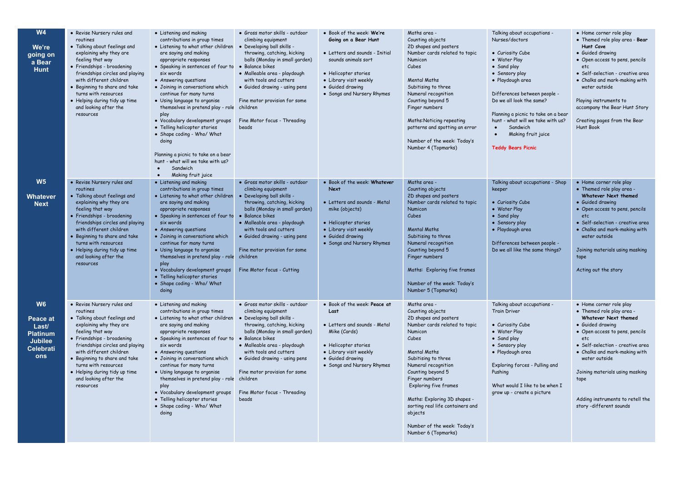| <b>W4</b><br>We're<br>going on<br>a Bear<br><b>Hunt</b>                                      | • Revise Nursery rules and<br>routines<br>• Talking about feelings and<br>explaining why they are<br>feeling that way<br>• Friendships - broadening<br>friendships circles and playing<br>with different children<br>• Beginning to share and take<br>turns with resources<br>• Helping during tidy up time<br>and looking after the<br>resources | • Listening and making<br>contributions in group times<br>• Listening to what other children<br>are saying and making<br>appropriate responses<br>• Speaking in sentences of four to<br>six words<br>• Answering questions<br>· Joining in conversations which<br>continue for many turns<br>• Using language to organise<br>themselves in pretend play - role children<br>play<br>• Vocabulary development groups<br>• Telling helicopter stories<br>• Shape coding - Who/ What<br>doing<br>Planning a picnic to take on a bear<br>hunt - what will we take with us?<br>Sandwich<br>$\bullet$<br>Making fruit juice<br>$\bullet$ | · Gross motor skills - outdoor<br>climbing equipment<br>• Developing ball skills -<br>throwing, catching, kicking<br>balls (Monday in small garden)<br>• Balance bikes<br>· Malleable area - playdough<br>with tools and cutters<br>• Guided drawing - using pens<br>Fine motor provision for some<br>Fine Motor focus - Threading<br>beads             | . Book of the week: We're<br>Going on a Bear Hunt<br>• Letters and sounds - Initial<br>sounds animals sort<br>• Helicopter stories<br>• Library visit weekly<br>• Guided drawing<br>• Songs and Nursery Rhymes | Maths area -<br>Counting objects<br>2D shapes and posters<br>Number cards related to topic<br>Numicon<br>Cubes<br><b>Mental Maths</b><br>Subitising to three<br>Numeral recognition<br>Counting beyond 5<br>Finger numbers<br>Maths: Noticing repeating<br>patterns and spotting an error<br>Number of the week: Today's<br>Number 4 (Topmarks)                                                 | Talking about occupations -<br>Nurses/doctors<br>• Curiosity Cube<br>• Water Play<br>• Sand play<br>• Sensory play<br>· Playdough area<br>Differences between people -<br>Do we all look the same?<br>Planning a picnic to take on a bear<br>hunt - what will we take with us?<br>Sandwich<br>$\bullet$<br>Making fruit juice<br>$\bullet$<br><b>Teddy Bears Picnic</b> | • Home corner role play<br>• Themed role play area - Bear<br>Hunt Cave<br>• Guided drawing<br>• Open access to pens, pencils<br>etc<br>• Self-selection - creative area<br>• Chalks and mark-making with<br>water outside<br>Playing instruments to<br>accompany the Bear Hunt Story<br>Creating pages from the Bear<br>Hunt Book         |
|----------------------------------------------------------------------------------------------|---------------------------------------------------------------------------------------------------------------------------------------------------------------------------------------------------------------------------------------------------------------------------------------------------------------------------------------------------|-----------------------------------------------------------------------------------------------------------------------------------------------------------------------------------------------------------------------------------------------------------------------------------------------------------------------------------------------------------------------------------------------------------------------------------------------------------------------------------------------------------------------------------------------------------------------------------------------------------------------------------|---------------------------------------------------------------------------------------------------------------------------------------------------------------------------------------------------------------------------------------------------------------------------------------------------------------------------------------------------------|----------------------------------------------------------------------------------------------------------------------------------------------------------------------------------------------------------------|-------------------------------------------------------------------------------------------------------------------------------------------------------------------------------------------------------------------------------------------------------------------------------------------------------------------------------------------------------------------------------------------------|-------------------------------------------------------------------------------------------------------------------------------------------------------------------------------------------------------------------------------------------------------------------------------------------------------------------------------------------------------------------------|-------------------------------------------------------------------------------------------------------------------------------------------------------------------------------------------------------------------------------------------------------------------------------------------------------------------------------------------|
| W <sub>5</sub><br>Whatever<br><b>Next</b>                                                    | • Revise Nursery rules and<br>routines<br>• Talking about feelings and<br>explaining why they are<br>feeling that way<br>• Friendships - broadening<br>friendships circles and playing<br>with different children<br>• Beginning to share and take<br>turns with resources<br>• Helping during tidy up time<br>and looking after the<br>resources | • Listening and making<br>contributions in group times<br>• Listening to what other children<br>are saying and making<br>appropriate responses<br>• Speaking in sentences of four to<br>six words<br>• Answering questions<br>• Joining in conversations which<br>continue for many turns<br>• Using language to organise<br>themselves in pretend play - role<br>play<br>• Vocabulary development groups<br>• Telling helicopter stories<br>• Shape coding - Who/ What<br>doing                                                                                                                                                  | · Gross motor skills - outdoor<br>climbing equipment<br>• Developing ball skills -<br>throwing, catching, kicking<br>balls (Monday in small garden)<br>• Balance bikes<br>· Malleable area - playdough<br>with tools and cutters<br>• Guided drawing - using pens<br>Fine motor provision for some<br>children<br>Fine Motor focus - Cutting            | . Book of the week: Whatever<br><b>Next</b><br>• Letters and sounds - Metal<br>mike (objects)<br>• Helicopter stories<br>• Library visit weekly<br>• Guided drawing<br>• Songs and Nursery Rhymes              | Maths area -<br>Counting objects<br>2D shapes and posters<br>Number cards related to topic<br>Numicon<br>Cubes<br><b>Mental Maths</b><br>Subitising to three<br>Numeral recognition<br>Counting beyond 5<br>Finger numbers<br>Maths: Exploring five frames<br>Number of the week: Today's<br>Number 5 (Topmarks)                                                                                | Talking about occupations - Shop<br>keeper<br>• Curiosity Cube<br>• Water Play<br>• Sand play<br>• Sensory play<br>· Playdough area<br>Differences between people -<br>Do we all like the same things?                                                                                                                                                                  | • Home corner role play<br>• Themed role play area -<br>Whatever Next themed<br>• Guided drawing<br>• Open access to pens, pencils<br>etc.<br>· Self-selection - creative area<br>• Chalks and mark-making with<br>water outside<br>Joining materials using masking<br>tape<br>Acting out the story                                       |
| W <sub>6</sub><br>Peace at<br>Last/<br><b>Platinum</b><br><b>Jubilee</b><br>Celebrati<br>ons | • Revise Nursery rules and<br>routines<br>• Talking about feelings and<br>explaining why they are<br>feeling that way<br>• Friendships - broadening<br>friendships circles and playing<br>with different children<br>• Beginning to share and take<br>turns with resources<br>• Helping during tidy up time<br>and looking after the<br>resources | • Listening and making<br>contributions in group times<br>• Listening to what other children<br>are saying and making<br>appropriate responses<br>• Speaking in sentences of four to<br>six words<br>• Answering questions<br>· Joining in conversations which<br>continue for many turns<br>• Using language to organise<br>themselves in pretend play - role<br>play<br>• Vocabulary development groups<br>• Telling helicopter stories<br>• Shape coding - Who/ What<br>doing                                                                                                                                                  | · Gross motor skills - outdoor<br>climbing equipment<br>· Developing ball skills -<br>throwing, catching, kicking<br>balls (Monday in small garden)<br>• Balance bikes<br>· Malleable area - playdough<br>with tools and cutters<br>• Guided drawing - using pens<br>Fine motor provision for some<br>children<br>Fine Motor focus - Threading<br>beads | . Book of the week: Peace at<br>Last<br>• Letters and sounds - Metal<br>Mike (Cards)<br>• Helicopter stories<br>• Library visit weekly<br>· Guided drawing<br>• Songs and Nursery Rhymes                       | Maths area -<br>Counting objects<br>2D shapes and posters<br>Number cards related to topic<br>Numicon<br>Cubes<br><b>Mental Maths</b><br>Subitising to three<br>Numeral recognition<br>Counting beyond 5<br>Finger numbers<br><b>Exploring five frames</b><br>Maths: Exploring 3D shapes -<br>sorting real life containers and<br>objects<br>Number of the week: Today's<br>Number 6 (Topmarks) | Talking about occupations -<br><b>Train Driver</b><br>• Curiosity Cube<br>• Water Play<br>• Sand play<br>• Sensory play<br>· Playdough area<br>Exploring forces - Pulling and<br>Pushina<br>What would I like to be when I<br>grow up - create a picture                                                                                                                | • Home corner role play<br>• Themed role play area -<br>Whatever Next themed<br>• Guided drawing<br>• Open access to pens, pencils<br>etc<br>· Self-selection - creative area<br>• Chalks and mark-making with<br>water outside<br>Joining materials using masking<br>tape<br>Adding instruments to retell the<br>story -different sounds |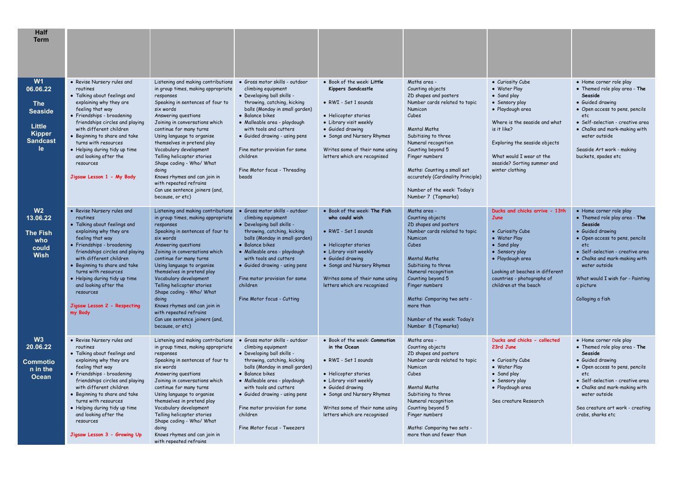| <b>Half</b><br><b>Term</b>                                                                         |                                                                                                                                                                                                                                                                                                                                                                                              |                                                                                                                                                                                                                                                                                                                                                                                                                                                                                                     |                                                                                                                                                                                                                                                                                                                                                         |                                                                                                                                                                                                                                                 |                                                                                                                                                                                                                                                                                                                                                       |                                                                                                                                                                                                                                                      |                                                                                                                                                                                                                                                                                             |
|----------------------------------------------------------------------------------------------------|----------------------------------------------------------------------------------------------------------------------------------------------------------------------------------------------------------------------------------------------------------------------------------------------------------------------------------------------------------------------------------------------|-----------------------------------------------------------------------------------------------------------------------------------------------------------------------------------------------------------------------------------------------------------------------------------------------------------------------------------------------------------------------------------------------------------------------------------------------------------------------------------------------------|---------------------------------------------------------------------------------------------------------------------------------------------------------------------------------------------------------------------------------------------------------------------------------------------------------------------------------------------------------|-------------------------------------------------------------------------------------------------------------------------------------------------------------------------------------------------------------------------------------------------|-------------------------------------------------------------------------------------------------------------------------------------------------------------------------------------------------------------------------------------------------------------------------------------------------------------------------------------------------------|------------------------------------------------------------------------------------------------------------------------------------------------------------------------------------------------------------------------------------------------------|---------------------------------------------------------------------------------------------------------------------------------------------------------------------------------------------------------------------------------------------------------------------------------------------|
| W1<br>06.06.22<br><b>The</b><br><b>Seaside</b><br>Little<br><b>Kipper</b><br><b>Sandcast</b><br>le | • Revise Nursery rules and<br>routines<br>• Talking about feelings and<br>explaining why they are<br>feeling that way<br>· Friendships - broadening<br>friendships circles and playing<br>with different children<br>• Beginning to share and take<br>turns with resources<br>· Helping during tidy up time<br>and looking after the<br>resources<br>Jigsaw Lesson 1 - My Body               | Listening and making contributions<br>in group times, making appropriate<br>responses<br>Speaking in sentences of four to<br>six words<br>Answering questions<br>Joining in conversations which<br>continue for many turns<br>Using language to organise<br>themselves in pretend play<br>Vocabulary development<br>Telling helicopter stories<br>Shape coding - Who/ What<br>doing<br>Knows rhymes and can join in<br>with repeated refrains<br>Can use sentence joiners (and,<br>because, or etc) | · Gross motor skills - outdoor<br>climbing equipment<br>· Developing ball skills -<br>throwing, catching, kicking<br>balls (Monday in small garden)<br>• Balance bikes<br>· Malleable area - playdough<br>with tools and cutters<br>• Guided drawing - using pens<br>Fine motor provision for some<br>children<br>Fine Motor focus - Threading<br>beads | . Book of the week: Little<br>Kippers Sandcastle<br>· RWI - Set 1 sounds<br>• Helicopter stories<br>• Library visit weekly<br>• Guided drawing<br>• Songs and Nursery Rhymes<br>Writes some of their name using<br>letters which are recognised | Maths area -<br>Counting objects<br>2D shapes and posters<br>Number cards related to topic<br>Numicon<br>Cubes<br><b>Mental Maths</b><br>Subitising to three<br>Numeral recognition<br>Counting beyond 5<br>Finger numbers<br>Maths: Counting a small set<br>accurately (Cardinality Principle)<br>Number of the week: Today's<br>Number 7 (Topmarks) | • Curiosity Cube<br>• Water Play<br>• Sand play<br>· Sensory play<br>· Playdough area<br>Where is the seaside and what<br>is it like?<br>Exploring the seaside objects<br>What would I wear at the<br>seaside? Sorting summer and<br>winter clothing | · Home corner role play<br>. Themed role play area - The<br>Seaside<br>• Guided drawing<br>• Open access to pens, pencils<br>etc<br>· Self-selection - creative area<br>· Chalks and mark-making with<br>water outside<br>Seaside Art work - making<br>buckets, spades etc                  |
| W <sub>2</sub><br>13.06.22<br>The Fish<br>who<br>could<br><b>Wish</b>                              | • Revise Nursery rules and<br>routines<br>. Talking about feelings and<br>explaining why they are<br>feeling that way<br>· Friendships - broadening<br>friendships circles and playing<br>with different children<br>· Beginning to share and take<br>turns with resources<br>· Helping during tidy up time<br>and looking after the<br>resources<br>Jigsaw Lesson 2 - Respecting<br>my Body | Listening and making contributions<br>in group times, making appropriate<br>responses<br>Speaking in sentences of four to<br>six words<br>Answering questions<br>Joining in conversations which<br>continue for many turns<br>Using language to organise<br>themselves in pretend play<br>Vocabulary development<br>Telling helicopter stories<br>Shape coding - Who/ What<br>doing<br>Knows rhymes and can join in<br>with repeated refrains<br>Can use sentence joiners (and,<br>because, or etc) | · Gross motor skills - outdoor<br>climbing equipment<br>. Developing ball skills -<br>throwing, catching, kicking<br>balls (Monday in small garden)<br>· Balance bikes<br>· Malleable area - playdough<br>with tools and cutters<br>• Guided drawing - using pens<br>Fine motor provision for some<br>children<br>Fine Motor focus - Cutting            | • Book of the week: The Fish<br>who could wish<br>• RWI - Set 1 sounds<br>• Helicopter stories<br>• Library visit weekly<br>• Guided drawing<br>• Songs and Nursery Rhymes<br>Writes some of their name using<br>letters which are recognised   | Maths area -<br>Counting objects<br>2D shapes and posters<br>Number cards related to topic<br>Numicon<br>Cubes<br><b>Mental Maths</b><br>Subitising to three<br>Numeral recognition<br>Counting beyond 5<br>Finger numbers<br>Maths: Comparing two sets -<br>more than<br>Number of the week: Today's<br>Number 8 (Topmarks)                          | Ducks and chicks arrive - 13th<br>June<br>• Curiosity Cube<br>• Water Play<br>• Sand play<br>• Sensory play<br>· Playdough area<br>Looking at beaches in different<br>countries - photographs of<br>children at the beach                            | • Home corner role play<br>. Themed role play area - The<br>Seaside<br>• Guided drawing<br>• Open access to pens, pencils<br>etc<br>• Self-selection - creative area<br>• Chalks and mark-making with<br>water outside<br>What would I wish for - Painting<br>a picture<br>Collaging a fish |
| W3<br>20.06.22<br>Commotio<br>n in the<br><b>Ocean</b>                                             | • Revise Nursery rules and<br>routines<br>. Talking about feelings and<br>explaining why they are<br>feeling that way<br>· Friendships - broadening<br>friendships circles and playing<br>with different children<br>• Beginning to share and take<br>turns with resources<br>· Helping during tidy up time<br>and looking after the<br>resources<br>Jigsaw Lesson 3 - Growing Up            | Listening and making contributions<br>in group times, making appropriate<br>responses<br>Speaking in sentences of four to<br>six words<br>Answering questions<br>Joining in conversations which<br>continue for many turns<br>Using language to organise<br>themselves in pretend play<br>Vocabulary development<br>Telling helicopter stories<br>Shape coding - Who/ What<br>doing<br>Knows rhymes and can join in<br>with repeated refrains                                                       | · Gross motor skills - outdoor<br>climbing equipment<br>· Developing ball skills -<br>throwing, catching, kicking<br>balls (Monday in small garden)<br>• Balance bikes<br>· Malleable area - playdough<br>with tools and cutters<br>· Guided drawing - using pens<br>Fine motor provision for some<br>children<br>Fine Motor focus - Tweezers           | · Book of the week: Commotion<br>in the Ocean<br>• RWI - Set 1 sounds<br>• Helicopter stories<br>• Library visit weekly<br>• Guided drawing<br>· Songs and Nursery Rhymes<br>Writes some of their name using<br>letters which are recognised    | Maths area -<br>Counting objects<br>2D shapes and posters<br>Number cards related to topic<br>Numicon<br>Cubes<br><b>Mental Maths</b><br>Subitising to three<br>Numeral recognition<br>Counting beyond 5<br>Finger numbers<br>Maths: Comparing two sets -<br>more than and fewer than                                                                 | Ducks and chicks - collected<br>23rd June<br>• Curiosity Cube<br>• Water Play<br>• Sand play<br>• Sensory play<br>· Playdough area<br>Sea creature Research                                                                                          | • Home corner role play<br>• Themed role play area - The<br>Seaside<br>• Guided drawing<br>• Open access to pens, pencils<br>etc.<br>· Self-selection - creative area<br>• Chalks and mark-making with<br>water outside<br>Sea creature art work - creating<br>crabs, sharks etc            |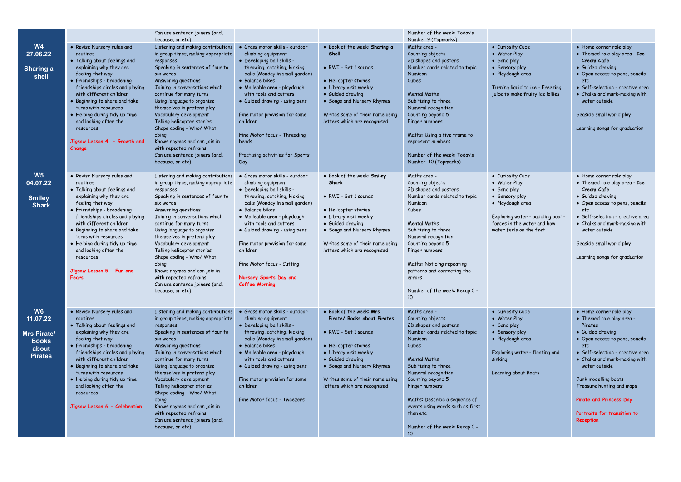|                                                                                      |                                                                                                                                                                                                                                                                                                                                                                                             | Can use sentence joiners (and,                                                                                                                                                                                                                                                                                                                                                                                                                                                                                          |                                                                                                                                                                                                                                                                                                                                                                                                    |                                                                                                                                                                                                                                                       | Number of the week: Today's<br>Number 9 (Topmarks)                                                                                                                                                                                                                                                                                                   |                                                                                                                                                                                      |                                                                                                                                                                                                                                                                                                                                                       |
|--------------------------------------------------------------------------------------|---------------------------------------------------------------------------------------------------------------------------------------------------------------------------------------------------------------------------------------------------------------------------------------------------------------------------------------------------------------------------------------------|-------------------------------------------------------------------------------------------------------------------------------------------------------------------------------------------------------------------------------------------------------------------------------------------------------------------------------------------------------------------------------------------------------------------------------------------------------------------------------------------------------------------------|----------------------------------------------------------------------------------------------------------------------------------------------------------------------------------------------------------------------------------------------------------------------------------------------------------------------------------------------------------------------------------------------------|-------------------------------------------------------------------------------------------------------------------------------------------------------------------------------------------------------------------------------------------------------|------------------------------------------------------------------------------------------------------------------------------------------------------------------------------------------------------------------------------------------------------------------------------------------------------------------------------------------------------|--------------------------------------------------------------------------------------------------------------------------------------------------------------------------------------|-------------------------------------------------------------------------------------------------------------------------------------------------------------------------------------------------------------------------------------------------------------------------------------------------------------------------------------------------------|
| <b>W4</b><br>27.06.22<br>Sharing a<br>shell                                          | • Revise Nursery rules and<br>routines<br>• Talking about feelings and<br>explaining why they are<br>feeling that way<br>· Friendships - broadening<br>friendships circles and playing<br>with different children<br>· Beginning to share and take<br>turns with resources<br>• Helping during tidy up time<br>and looking after the<br>resources<br>Jigsaw Lesson 4 - Growth and<br>Change | because, or etc)<br>Listening and making contributions<br>in group times, making appropriate<br>responses<br>Speaking in sentences of four to<br>six words<br>Answering questions<br>Joining in conversations which<br>continue for many turns<br>Using language to organise<br>themselves in pretend play<br>Vocabulary development<br>Telling helicopter stories<br>Shape coding - Who/ What<br>doing<br>Knows rhymes and can join in<br>with repeated refrains<br>Can use sentence joiners (and,<br>because, or etc) | · Gross motor skills - outdoor<br>climbing equipment<br>• Developing ball skills -<br>throwing, catching, kicking<br>balls (Monday in small garden)<br>• Balance bikes<br>· Malleable area - playdough<br>with tools and cutters<br>• Guided drawing - using pens<br>Fine motor provision for some<br>children<br>Fine Motor focus - Threading<br>beads<br>Practising activities for Sports<br>Day | · Book of the week: Sharing a<br>Shell<br>• RWI - Set 1 sounds<br>• Helicopter stories<br>• Library visit weekly<br>• Guided drawing<br>• Songs and Nursery Rhymes<br>Writes some of their name using<br>letters which are recognised                 | Maths area -<br>Counting objects<br>2D shapes and posters<br>Number cards related to topic<br>Numicon<br>Cubes<br><b>Mental Maths</b><br>Subitising to three<br>Numeral recognition<br>Counting beyond 5<br>Finger numbers<br>Maths: Using a five frame to<br>represent numbers<br>Number of the week: Today's<br>Number 10 (Topmarks)               | • Curiosity Cube<br>• Water Play<br>• Sand play<br>• Sensory play<br>· Playdough area<br>Turning liquid to ice - Freezing<br>juice to make fruity ice lollies                        | • Home corner role play<br>• Themed role play area - Ice<br>Cream Cafe<br>· Guided drawing<br>• Open access to pens, pencils<br>etc<br>• Self-selection - creative area<br>• Chalks and mark-making with<br>water outside<br>Seaside small world play<br>Learning songs for graduation                                                                |
| W <sub>5</sub><br>04.07.22<br><b>Smiley</b><br><b>Shark</b>                          | • Revise Nursery rules and<br>routines<br>• Talking about feelings and<br>explaining why they are<br>feeling that way<br>· Friendships - broadening<br>friendships circles and playing<br>with different children<br>• Beginning to share and take<br>turns with resources<br>• Helping during tidy up time<br>and looking after the<br>resources<br>Jigsaw Lesson 5 - Fun and<br>Fears     | Listening and making contributions<br>in group times, making appropriate<br>responses<br>Speaking in sentences of four to<br>six words<br>Answering questions<br>Joining in conversations which<br>continue for many turns<br>Using language to organise<br>themselves in pretend play<br>Vocabulary development<br>Telling helicopter stories<br>Shape coding - Who/ What<br>doing<br>Knows rhymes and can join in<br>with repeated refrains<br>Can use sentence joiners (and,<br>because, or etc)                     | · Gross motor skills - outdoor<br>climbing equipment<br>• Developing ball skills -<br>throwing, catching, kicking<br>balls (Monday in small garden)<br>• Balance bikes<br>· Malleable area - playdough<br>with tools and cutters<br>• Guided drawing - using pens<br>Fine motor provision for some<br>children<br>Fine Motor focus - Cutting<br>Nursery Sports Day and<br><b>Coffee Morning</b>    | . Book of the week: Smiley<br>Shark<br>• RWI - Set 1 sounds<br>• Helicopter stories<br>• Library visit weekly<br>• Guided drawing<br>• Songs and Nursery Rhymes<br>Writes some of their name using<br>letters which are recognised                    | Maths area -<br>Counting objects<br>2D shapes and posters<br>Number cards related to topic<br>Numicon<br>Cubes<br><b>Mental Maths</b><br>Subitising to three<br>Numeral recognition<br>Counting beyond 5<br>Finger numbers<br>Maths: Noticing repeating<br>patterns and correcting the<br>errors<br>Number of the week: Recap 0 -<br>10 <sup>2</sup> | • Curiosity Cube<br>• Water Play<br>• Sand play<br>• Sensory play<br>· Playdough area<br>Exploring water - paddling pool -<br>forces in the water and how<br>water feels on the feet | • Home corner role play<br>• Themed role play area - Ice<br>Cream Cafe<br>· Guided drawing<br>• Open access to pens, pencils<br>etc<br>• Self-selection - creative area<br>• Chalks and mark-making with<br>water outside<br>Seaside small world play<br>Learning songs for graduation                                                                |
| W <sub>6</sub><br>11.07.22<br>Mrs Pirate/<br><b>Books</b><br>about<br><b>Pirates</b> | • Revise Nursery rules and<br>routines<br>. Talking about feelings and<br>explaining why they are<br>feeling that way<br>· Friendships - broadening<br>friendships circles and playing<br>with different children<br>• Beginning to share and take<br>turns with resources<br>· Helping during tidy up time<br>and looking after the<br>resources<br>Jigsaw Lesson 6 - Celebration          | Listening and making contributions<br>in group times, making appropriate<br>responses<br>Speaking in sentences of four to<br>six words<br>Answering questions<br>Joining in conversations which<br>continue for many turns<br>Using language to organise<br>themselves in pretend play<br>Vocabulary development<br>Telling helicopter stories<br>Shape coding - Who/ What<br>doing<br>Knows rhymes and can join in<br>with repeated refrains<br>Can use sentence joiners (and,<br>because, or etc)                     | · Gross motor skills - outdoor<br>climbing equipment<br>• Developing ball skills -<br>throwing, catching, kicking<br>balls (Monday in small garden)<br>• Balance bikes<br>· Malleable area - playdough<br>with tools and cutters<br>• Guided drawing - using pens<br>Fine motor provision for some<br>children<br>Fine Motor focus - Tweezers                                                      | • Book of the week: Mrs<br>Pirate/ Books about Pirates<br>• RWI - Set 1 sounds<br>• Helicopter stories<br>• Library visit weekly<br>• Guided drawing<br>• Songs and Nursery Rhymes<br>Writes some of their name using<br>letters which are recognised | Maths area -<br>Counting objects<br>2D shapes and posters<br>Number cards related to topic<br>Numicon<br>Cubes<br><b>Mental Maths</b><br>Subitising to three<br>Numeral recognition<br>Counting beyond 5<br>Finger numbers<br>Maths: Describe a sequence of<br>events using words such as first,<br>then etc<br>Number of the week: Recap 0 -<br>10  | • Curiosity Cube<br>• Water Play<br>• Sand play<br>• Sensory play<br>· Playdough area<br>Exploring water - floating and<br>sinking<br>Learning about Boats                           | • Home corner role play<br>• Themed role play area -<br>Pirates<br>• Guided drawing<br>• Open access to pens, pencils<br>etc<br>• Self-selection - creative area<br>• Chalks and mark-making with<br>water outside<br>Junk modelling boats<br>Treasure hunting and maps<br>Pirate and Princess Day<br>Portraits for transition to<br><b>Reception</b> |